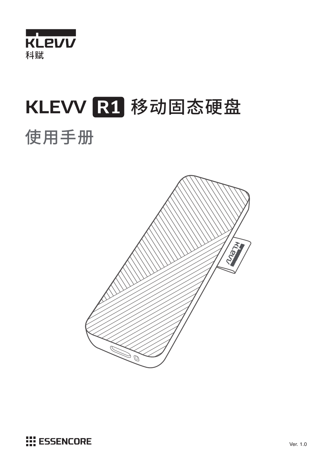

# KLEVV R1 移动固态硬盘 使用手册



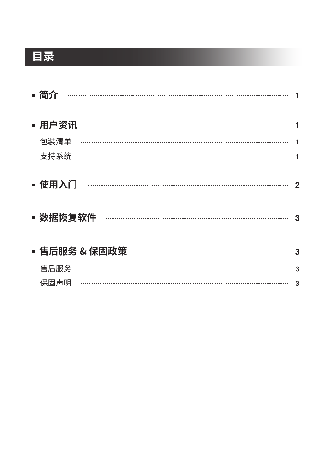# **目录**

| ▪ 简介             |   |
|------------------|---|
| ▪ 用户资讯           |   |
| 包装清单             |   |
| 支持系统             |   |
| ▪ 使用入门<br>数据恢复软件 | 3 |
| ▪ 售后服务 & 保固政策    | З |
| 售后服务             | 3 |
| 保固声明             | 3 |
|                  |   |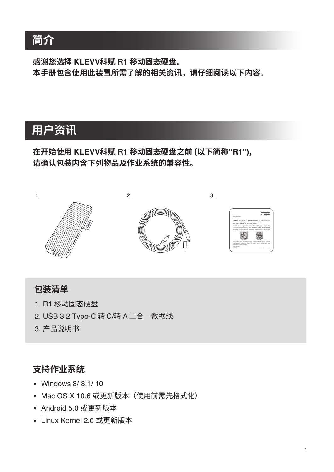# **简介**

**感谢您选择 KLEVV科赋 R1 移动固态硬盘。 本手册包含使用此装置所需了解的相关资讯,请仔细阅读以下内容。**

# **用户资讯**

### **在开始使用 KLEVV科赋 R1 移动固态硬盘之前 (以下简称"R1"), 请确认包装内含下列物品及作业系统的兼容性。**



### **包装清单**

- 1. R1 移动固态硬盘
- 2. USB 3.2 Type-C 转 C/转 A 二合一数据线
- 3. 产品说明书

### **支持作业系统**

- Windows 8/ 8.1/ 10
- Mac OS X 10.6 或更新版本 (使用前需先格式化)
- Android 5.0 或更新版本
- Linux Kernel 2.6 或更新版本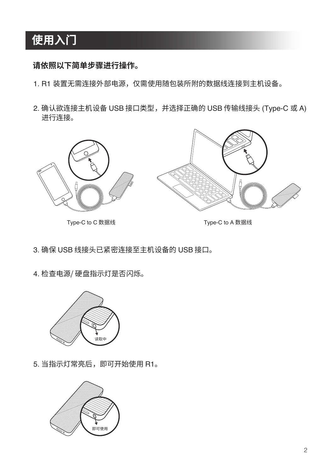# **使用入门**

#### **请依照以下简单步骤进行操作。**

- 1. R1 装置无需连接外部电源,仅需使用随包装所附的数据线连接到主机设备。
- 2. 确认欲连接主机设备 USB 接口类型,并选择正确的 USB 传输线接头 (Type-C 或 A) 进行连接。



- 3. 确保 USB 线接头已紧密连接至主机设备的 USB 接口。
- 4. 检查电源/ 硬盘指示灯是否闪烁。



5. 当指示灯常亮后,即可开始使用 R1。